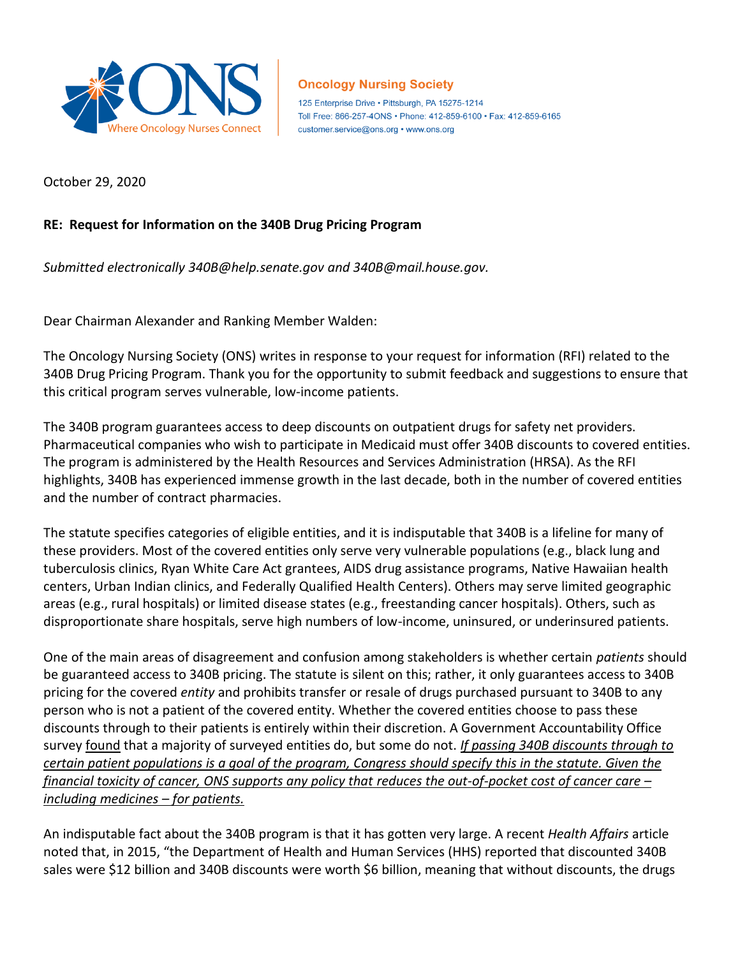

## **Oncology Nursing Society**

125 Enterprise Drive . Pittsburgh, PA 15275-1214 Toll Free: 866-257-4ONS · Phone: 412-859-6100 · Fax: 412-859-6165 customer.service@ons.org • www.ons.org

October 29, 2020

## **RE: Request for Information on the 340B Drug Pricing Program**

*Submitted electronically 340B@help.senate.gov and 340B@mail.house.gov.*

Dear Chairman Alexander and Ranking Member Walden:

The Oncology Nursing Society (ONS) writes in response to your request for information (RFI) related to the 340B Drug Pricing Program. Thank you for the opportunity to submit feedback and suggestions to ensure that this critical program serves vulnerable, low-income patients.

The 340B program guarantees access to deep discounts on outpatient drugs for safety net providers. Pharmaceutical companies who wish to participate in Medicaid must offer 340B discounts to covered entities. The program is administered by the Health Resources and Services Administration (HRSA). As the RFI highlights, 340B has experienced immense growth in the last decade, both in the number of covered entities and the number of contract pharmacies.

The statute specifies categories of eligible entities, and it is indisputable that 340B is a lifeline for many of these providers. Most of the covered entities only serve very vulnerable populations (e.g., black lung and tuberculosis clinics, Ryan White Care Act grantees, AIDS drug assistance programs, Native Hawaiian health centers, Urban Indian clinics, and Federally Qualified Health Centers). Others may serve limited geographic areas (e.g., rural hospitals) or limited disease states (e.g., freestanding cancer hospitals). Others, such as disproportionate share hospitals, serve high numbers of low-income, uninsured, or underinsured patients.

One of the main areas of disagreement and confusion among stakeholders is whether certain *patients* should be guaranteed access to 340B pricing. The statute is silent on this; rather, it only guarantees access to 340B pricing for the covered *entity* and prohibits transfer or resale of drugs purchased pursuant to 340B to any person who is not a patient of the covered entity. Whether the covered entities choose to pass these discounts through to their patients is entirely within their discretion. A Government Accountability Office surve[y found](https://www.gao.gov/assets/700/692697.pdf) that a majority of surveyed entities do, but some do not. *If passing 340B discounts through to certain patient populations is a goal of the program, Congress should specify this in the statute. Given the financial toxicity of cancer, ONS supports any policy that reduces the out-of-pocket cost of cancer care – including medicines – for patients.* 

An indisputable fact about the 340B program is that it has gotten very large. A recent *Health Affairs* article noted that, in 2015, "the Department of Health and Human Services (HHS) reported that discounted 340B sales were \$12 billion and 340B discounts were worth \$6 billion, meaning that without discounts, the drugs